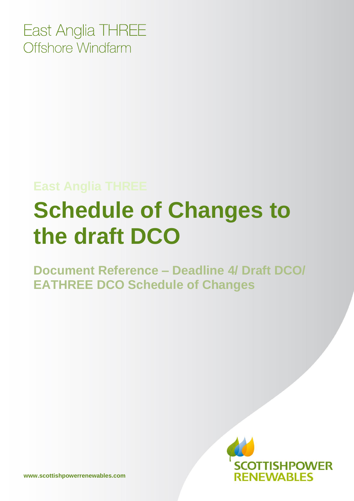East Anglia THREE Offshore Windfarm

## **East Anglia THREE**

## **Schedule of Changes to the draft DCO**

**Document Reference – Deadline 4/ Draft DCO/ EATHREE DCO Schedule of Changes**

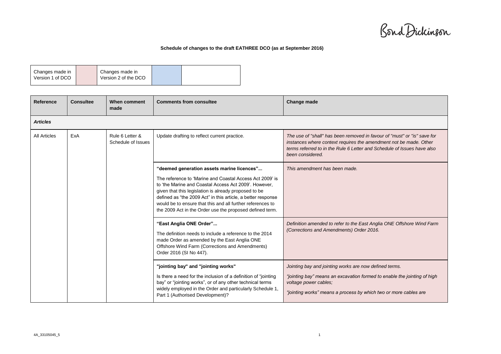Bond Dickinson

## **Schedule of changes to the draft EATHREE DCO (as at September 2016)**

| Changes made in  | Changes made in      |  |
|------------------|----------------------|--|
|                  |                      |  |
| Version 1 of DCO | Version 2 of the DCO |  |
|                  |                      |  |

| <b>Reference</b>    | <b>Consultee</b> | When comment<br>made                  | <b>Comments from consultee</b>                                                                                                                                                                                                                                                                                                                                                                                     | Change made                                                                                                                                                                                                                                  |  |  |  |
|---------------------|------------------|---------------------------------------|--------------------------------------------------------------------------------------------------------------------------------------------------------------------------------------------------------------------------------------------------------------------------------------------------------------------------------------------------------------------------------------------------------------------|----------------------------------------------------------------------------------------------------------------------------------------------------------------------------------------------------------------------------------------------|--|--|--|
| <b>Articles</b>     |                  |                                       |                                                                                                                                                                                                                                                                                                                                                                                                                    |                                                                                                                                                                                                                                              |  |  |  |
| <b>All Articles</b> | ExA              | Rule 6 Letter &<br>Schedule of Issues | Update drafting to reflect current practice.                                                                                                                                                                                                                                                                                                                                                                       | The use of "shall" has been removed in favour of "must" or "is" save for<br>instances where context requires the amendment not be made. Other<br>terms referred to in the Rule 6 Letter and Schedule of Issues have also<br>been considered. |  |  |  |
|                     |                  |                                       | "deemed generation assets marine licences"<br>The reference to 'Marine and Coastal Access Act 2009' is<br>to 'the Marine and Coastal Access Act 2009'. However,<br>given that this legislation is already proposed to be<br>defined as "the 2009 Act" in this article, a better response<br>would be to ensure that this and all further references to<br>the 2009 Act in the Order use the proposed defined term. | This amendment has been made.                                                                                                                                                                                                                |  |  |  |
|                     |                  |                                       | "East Anglia ONE Order"<br>The definition needs to include a reference to the 2014<br>made Order as amended by the East Anglia ONE<br>Offshore Wind Farm (Corrections and Amendments)<br>Order 2016 (SI No 447).                                                                                                                                                                                                   | Definition amended to refer to the East Anglia ONE Offshore Wind Farm<br>(Corrections and Amendments) Order 2016.                                                                                                                            |  |  |  |
|                     |                  |                                       | "jointing bay" and "jointing works"<br>Is there a need for the inclusion of a definition of "jointing<br>bay" or "jointing works", or of any other technical terms<br>widely employed in the Order and particularly Schedule 1,<br>Part 1 (Authorised Development)?                                                                                                                                                | Jointing bay and jointing works are now defined terms.<br>"jointing bay" means an excavation formed to enable the jointing of high<br>voltage power cables;<br>"jointing works" means a process by which two or more cables are              |  |  |  |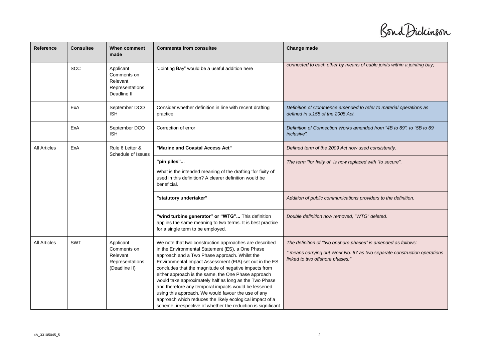Bond Dickinson

| <b>Reference</b>    | <b>Consultee</b> | When comment<br>made                                                     | <b>Comments from consultee</b>                                                                                                                                                                                                                                                                                                                                                                                                                                                                                                                                                                                                              | Change made                                                                                                                                                                  |
|---------------------|------------------|--------------------------------------------------------------------------|---------------------------------------------------------------------------------------------------------------------------------------------------------------------------------------------------------------------------------------------------------------------------------------------------------------------------------------------------------------------------------------------------------------------------------------------------------------------------------------------------------------------------------------------------------------------------------------------------------------------------------------------|------------------------------------------------------------------------------------------------------------------------------------------------------------------------------|
|                     | <b>SCC</b>       | Applicant<br>Comments on<br>Relevant<br>Representations<br>Deadline II   | "Jointing Bay" would be a useful addition here                                                                                                                                                                                                                                                                                                                                                                                                                                                                                                                                                                                              | connected to each other by means of cable joints within a jointing bay;                                                                                                      |
|                     | ExA              | September DCO<br><b>ISH</b>                                              | Consider whether definition in line with recent drafting<br>practice                                                                                                                                                                                                                                                                                                                                                                                                                                                                                                                                                                        | Definition of Commence amended to refer to material operations as<br>defined in s.155 of the 2008 Act.                                                                       |
|                     | ExA              | September DCO<br><b>ISH</b>                                              | Correction of error                                                                                                                                                                                                                                                                                                                                                                                                                                                                                                                                                                                                                         | Definition of Connection Works amended from "4B to 69", to "5B to 69<br><i>inclusive".</i>                                                                                   |
| <b>All Articles</b> | ExA              | Rule 6 Letter &<br>Schedule of Issues                                    | "Marine and Coastal Access Act"                                                                                                                                                                                                                                                                                                                                                                                                                                                                                                                                                                                                             | Defined term of the 2009 Act now used consistently.                                                                                                                          |
|                     |                  |                                                                          | "pin piles"<br>What is the intended meaning of the drafting 'for fixity of'<br>used in this definition? A clearer definition would be<br>beneficial.<br>"statutory undertaker"                                                                                                                                                                                                                                                                                                                                                                                                                                                              | The term "for fixity of" is now replaced with "to secure".<br>Addition of public communications providers to the definition.                                                 |
|                     |                  |                                                                          | "wind turbine generator" or "WTG" This definition<br>applies the same meaning to two terms. It is best practice<br>for a single term to be employed.                                                                                                                                                                                                                                                                                                                                                                                                                                                                                        | Double definition now removed, "WTG" deleted.                                                                                                                                |
| <b>All Articles</b> | <b>SWT</b>       | Applicant<br>Comments on<br>Relevant<br>Representations<br>(Deadline II) | We note that two construction approaches are described<br>in the Environmental Statement (ES), a One Phase<br>approach and a Two Phase approach. Whilst the<br>Environmental Impact Assessment (EIA) set out in the ES<br>concludes that the magnitude of negative impacts from<br>either approach is the same, the One Phase approach<br>would take approximately half as long as the Two Phase<br>and therefore any temporal impacts would be lessened<br>using this approach. We would favour the use of any<br>approach which reduces the likely ecological impact of a<br>scheme, irrespective of whether the reduction is significant | The definition of "two onshore phases" is amended as follows:<br>" means carrying out Work No. 67 as two separate construction operations<br>linked to two offshore phases;" |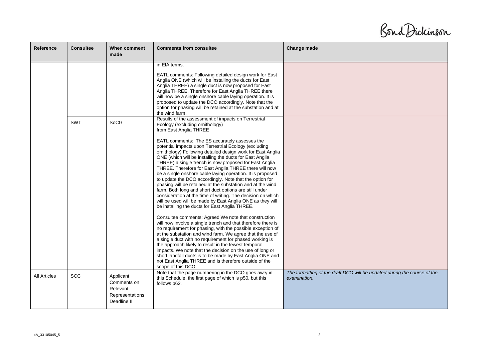Bond Dickinson

| Reference           | <b>Consultee</b> | When comment<br>made                                                   | <b>Comments from consultee</b>                                                                                                                                                                                                                                                                                                                                                                                                                                                                                                                                                                                                                                                                                                                                                     | Change made                                                                              |
|---------------------|------------------|------------------------------------------------------------------------|------------------------------------------------------------------------------------------------------------------------------------------------------------------------------------------------------------------------------------------------------------------------------------------------------------------------------------------------------------------------------------------------------------------------------------------------------------------------------------------------------------------------------------------------------------------------------------------------------------------------------------------------------------------------------------------------------------------------------------------------------------------------------------|------------------------------------------------------------------------------------------|
|                     |                  |                                                                        | in EIA terms.<br>EATL comments: Following detailed design work for East<br>Anglia ONE (which will be installing the ducts for East<br>Anglia THREE) a single duct is now proposed for East<br>Anglia THREE. Therefore for East Anglia THREE there<br>will now be a single onshore cable laying operation. It is<br>proposed to update the DCO accordingly. Note that the<br>option for phasing will be retained at the substation and at<br>the wind farm.                                                                                                                                                                                                                                                                                                                         |                                                                                          |
|                     | <b>SWT</b>       | SoCG                                                                   | Results of the assessment of impacts on Terrestrial<br>Ecology (excluding ornithology)<br>from East Anglia THREE                                                                                                                                                                                                                                                                                                                                                                                                                                                                                                                                                                                                                                                                   |                                                                                          |
|                     |                  |                                                                        | EATL comments: The ES accurately assesses the<br>potential impacts upon Terrestrial Ecology (excluding<br>ornithology) Following detailed design work for East Anglia<br>ONE (which will be installing the ducts for East Anglia<br>THREE) a single trench is now proposed for East Anglia<br>THREE. Therefore for East Anglia THREE there will now<br>be a single onshore cable laying operation. It is proposed<br>to update the DCO accordingly. Note that the option for<br>phasing will be retained at the substation and at the wind<br>farm. Both long and short duct options are still under<br>consideration at the time of writing. The decision on which<br>will be used will be made by East Anglia ONE as they will<br>be installing the ducts for East Anglia THREE. |                                                                                          |
|                     |                  |                                                                        | Consultee comments: Agreed We note that construction<br>will now involve a single trench and that therefore there is<br>no requirement for phasing, with the possible exception of<br>at the substation and wind farm. We agree that the use of<br>a single duct with no requirement for phased working is<br>the approach likely to result in the fewest temporal<br>impacts. We note that the decision on the use of long or<br>short landfall ducts is to be made by East Anglia ONE and<br>not East Anglia THREE and is therefore outside of the<br>scope of this DCO.                                                                                                                                                                                                         |                                                                                          |
| <b>All Articles</b> | <b>SCC</b>       | Applicant<br>Comments on<br>Relevant<br>Representations<br>Deadline II | Note that the page numbering in the DCO goes awry in<br>this Schedule, the first page of which is p50, but this<br>follows p62.                                                                                                                                                                                                                                                                                                                                                                                                                                                                                                                                                                                                                                                    | The formatting of the draft DCO will be updated during the course of the<br>examination. |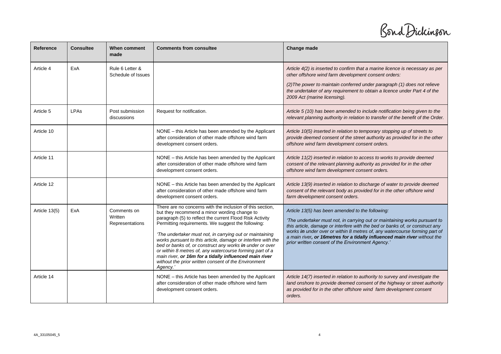Bond Dickinson

| <b>Reference</b> | <b>Consultee</b> | When comment<br>made                      | <b>Comments from consultee</b>                                                                                                                                                                                                                                                                                                                                                                                                                                                                                                                                                                               | Change made                                                                                                                                                                                                                                                                                                                                                                                                                    |
|------------------|------------------|-------------------------------------------|--------------------------------------------------------------------------------------------------------------------------------------------------------------------------------------------------------------------------------------------------------------------------------------------------------------------------------------------------------------------------------------------------------------------------------------------------------------------------------------------------------------------------------------------------------------------------------------------------------------|--------------------------------------------------------------------------------------------------------------------------------------------------------------------------------------------------------------------------------------------------------------------------------------------------------------------------------------------------------------------------------------------------------------------------------|
| Article 4        | ExA              | Rule 6 Letter &<br>Schedule of Issues     |                                                                                                                                                                                                                                                                                                                                                                                                                                                                                                                                                                                                              | Article 4(2) is inserted to confirm that a marine licence is necessary as per<br>other offshore wind farm development consent orders:                                                                                                                                                                                                                                                                                          |
|                  |                  |                                           |                                                                                                                                                                                                                                                                                                                                                                                                                                                                                                                                                                                                              | (2) The power to maintain conferred under paragraph (1) does not relieve<br>the undertaker of any requirement to obtain a licence under Part 4 of the<br>2009 Act (marine licensing).                                                                                                                                                                                                                                          |
| Article 5        | LPAs             | Post submission<br>discussions            | Request for notification.                                                                                                                                                                                                                                                                                                                                                                                                                                                                                                                                                                                    | Article 5 (10) has been amended to include notification being given to the<br>relevant planning authority in relation to transfer of the benefit of the Order.                                                                                                                                                                                                                                                                 |
| Article 10       |                  |                                           | NONE - this Article has been amended by the Applicant<br>after consideration of other made offshore wind farm<br>development consent orders.                                                                                                                                                                                                                                                                                                                                                                                                                                                                 | Article 10(5) inserted in relation to temporary stopping up of streets to<br>provide deemed consent of the street authority as provided for in the other<br>offshore wind farm development consent orders.                                                                                                                                                                                                                     |
| Article 11       |                  |                                           | NONE – this Article has been amended by the Applicant<br>after consideration of other made offshore wind farm<br>development consent orders.                                                                                                                                                                                                                                                                                                                                                                                                                                                                 | Article 11(2) inserted in relation to access to works to provide deemed<br>consent of the relevant planning authority as provided for in the other<br>offshore wind farm development consent orders.                                                                                                                                                                                                                           |
| Article 12       |                  |                                           | NONE - this Article has been amended by the Applicant<br>after consideration of other made offshore wind farm<br>development consent orders.                                                                                                                                                                                                                                                                                                                                                                                                                                                                 | Article 13(9) inserted in relation to discharge of water to provide deemed<br>consent of the relevant body as provided for in the other offshore wind<br>farm development consent orders.                                                                                                                                                                                                                                      |
| Article 13(5)    | ExA              | Comments on<br>Written<br>Representations | There are no concerns with the inclusion of this section,<br>but they recommend a minor wording change to<br>paragraph (5) to reflect the current Flood Risk Activity<br>Permitting requirements. We suggest the following:<br>The undertaker must not, in carrying out or maintaining<br>works pursuant to this article, damage or interfere with the<br>bed or banks of, or construct any works in under or over<br>or within 8 metres of, any watercourse forming part of a<br>main river, or 16m for a tidally influenced main river<br>without the prior written consent of the Environment<br>Agency.' | Article 13(5) has been amended to the following:<br>'The undertaker must not, in carrying out or maintaining works pursuant to<br>this article, damage or interfere with the bed or banks of, or construct any<br>works in under over or within 8 metres of, any watercourse forming part of<br>a main river, or 16metres for a tidally influenced main river without the<br>prior written consent of the Environment Agency.' |
| Article 14       |                  |                                           | NONE - this Article has been amended by the Applicant<br>after consideration of other made offshore wind farm<br>development consent orders.                                                                                                                                                                                                                                                                                                                                                                                                                                                                 | Article 14(7) inserted in relation to authority to survey and investigate the<br>land onshore to provide deemed consent of the highway or street authority<br>as provided for in the other offshore wind farm development consent<br>orders.                                                                                                                                                                                   |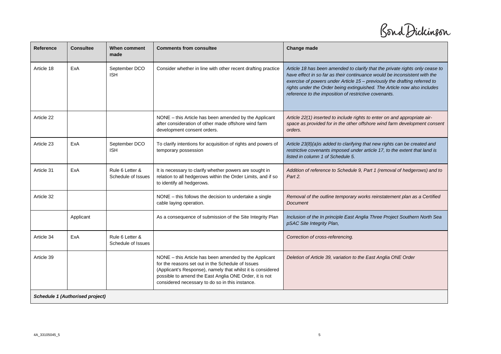Bond Dickinson

| <b>Reference</b> | <b>Consultee</b>                | When comment<br>made                  | <b>Comments from consultee</b>                                                                                                                                                                                                                                                         | Change made                                                                                                                                                                                                                                                                                                                                                                 |
|------------------|---------------------------------|---------------------------------------|----------------------------------------------------------------------------------------------------------------------------------------------------------------------------------------------------------------------------------------------------------------------------------------|-----------------------------------------------------------------------------------------------------------------------------------------------------------------------------------------------------------------------------------------------------------------------------------------------------------------------------------------------------------------------------|
| Article 18       | ExA                             | September DCO<br><b>ISH</b>           | Consider whether in line with other recent drafting practice                                                                                                                                                                                                                           | Article 18 has been amended to clarify that the private rights only cease to<br>have effect in so far as their continuance would be inconsistent with the<br>exercise of powers under Article 15 - previously the drafting referred to<br>rights under the Order being extinguished. The Article now also includes<br>reference to the imposition of restrictive covenants. |
| Article 22       |                                 |                                       | NONE - this Article has been amended by the Applicant<br>after consideration of other made offshore wind farm<br>development consent orders.                                                                                                                                           | Article 22(1) inserted to include rights to enter on and appropriate air-<br>space as provided for in the other offshore wind farm development consent<br>orders.                                                                                                                                                                                                           |
| Article 23       | ExA                             | September DCO<br><b>ISH</b>           | To clarify intentions for acquisition of rights and powers of<br>temporary possession                                                                                                                                                                                                  | Article 23(8)(a)is added to clarifying that new rights can be created and<br>restrictive covenants imposed under article 17, to the extent that land is<br>listed in column 1 of Schedule 5.                                                                                                                                                                                |
| Article 31       | ExA                             | Rule 6 Letter &<br>Schedule of Issues | It is necessary to clarify whether powers are sought in<br>relation to all hedgerows within the Order Limits, and if so<br>to identify all hedgerows.                                                                                                                                  | Addition of reference to Schedule 9, Part 1 (removal of hedgerows) and to<br>Part 2.                                                                                                                                                                                                                                                                                        |
| Article 32       |                                 |                                       | NONE – this follows the decision to undertake a single<br>cable laying operation.                                                                                                                                                                                                      | Removal of the outline temporary works reinstatement plan as a Certified<br><b>Document</b>                                                                                                                                                                                                                                                                                 |
|                  | Applicant                       |                                       | As a consequence of submission of the Site Integrity Plan                                                                                                                                                                                                                              | Inclusion of the In principle East Anglia Three Project Southern North Sea<br>pSAC Site Integrity Plan,                                                                                                                                                                                                                                                                     |
| Article 34       | ExA                             | Rule 6 Letter &<br>Schedule of Issues |                                                                                                                                                                                                                                                                                        | Correction of cross-referencing.                                                                                                                                                                                                                                                                                                                                            |
| Article 39       |                                 |                                       | NONE – this Article has been amended by the Applicant<br>for the reasons set out in the Schedule of Issues<br>(Applicant's Response), namely that whilst it is considered<br>possible to amend the East Anglia ONE Order, it is not<br>considered necessary to do so in this instance. | Deletion of Article 39, variation to the East Anglia ONE Order                                                                                                                                                                                                                                                                                                              |
|                  | Schedule 1 (Authorised project) |                                       |                                                                                                                                                                                                                                                                                        |                                                                                                                                                                                                                                                                                                                                                                             |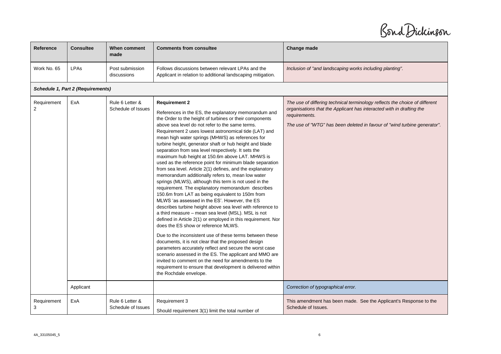Bond Dickinson

| Reference        | <b>Consultee</b>                  | When comment<br>made                  | <b>Comments from consultee</b>                                                                                                                                                                                                                                                                                                                                                                                                                                                                                                                                                                                                                                                                                                                                                                                                                                                                                                                                                                                                                                                                                                                                                                                                                                                                                                                                                                                                                                                                   | Change made                                                                                                                                                                                                                                      |  |  |  |
|------------------|-----------------------------------|---------------------------------------|--------------------------------------------------------------------------------------------------------------------------------------------------------------------------------------------------------------------------------------------------------------------------------------------------------------------------------------------------------------------------------------------------------------------------------------------------------------------------------------------------------------------------------------------------------------------------------------------------------------------------------------------------------------------------------------------------------------------------------------------------------------------------------------------------------------------------------------------------------------------------------------------------------------------------------------------------------------------------------------------------------------------------------------------------------------------------------------------------------------------------------------------------------------------------------------------------------------------------------------------------------------------------------------------------------------------------------------------------------------------------------------------------------------------------------------------------------------------------------------------------|--------------------------------------------------------------------------------------------------------------------------------------------------------------------------------------------------------------------------------------------------|--|--|--|
| Work No. 65      | LPAs                              | Post submission<br>discussions        | Follows discussions between relevant LPAs and the<br>Applicant in relation to additional landscaping mitigation.                                                                                                                                                                                                                                                                                                                                                                                                                                                                                                                                                                                                                                                                                                                                                                                                                                                                                                                                                                                                                                                                                                                                                                                                                                                                                                                                                                                 | Inclusion of "and landscaping works including planting".                                                                                                                                                                                         |  |  |  |
|                  | Schedule 1, Part 2 (Requirements) |                                       |                                                                                                                                                                                                                                                                                                                                                                                                                                                                                                                                                                                                                                                                                                                                                                                                                                                                                                                                                                                                                                                                                                                                                                                                                                                                                                                                                                                                                                                                                                  |                                                                                                                                                                                                                                                  |  |  |  |
| Requirement<br>2 | ExA                               | Rule 6 Letter &<br>Schedule of Issues | <b>Requirement 2</b><br>References in the ES, the explanatory memorandum and<br>the Order to the height of turbines or their components<br>above sea level do not refer to the same terms.<br>Requirement 2 uses lowest astronomical tide (LAT) and<br>mean high water springs (MHWS) as references for<br>turbine height, generator shaft or hub height and blade<br>separation from sea level respectively. It sets the<br>maximum hub height at 150.6m above LAT. MHWS is<br>used as the reference point for minimum blade separation<br>from sea level. Article 2(1) defines, and the explanatory<br>memorandum additionally refers to, mean low water<br>springs (MLWS), although this term is not used in the<br>requirement. The explanatory memorandum describes<br>150.6m from LAT as being equivalent to 150m from<br>MLWS 'as assessed in the ES'. However, the ES<br>describes turbine height above sea level with reference to<br>a third measure - mean sea level (MSL). MSL is not<br>defined in Article 2(1) or employed in this requirement. Nor<br>does the ES show or reference MLWS.<br>Due to the inconsistent use of these terms between these<br>documents, it is not clear that the proposed design<br>parameters accurately reflect and secure the worst case<br>scenario assessed in the ES. The applicant and MMO are<br>invited to comment on the need for amendments to the<br>requirement to ensure that development is delivered within<br>the Rochdale envelope. | The use of differing technical terminology reflects the choice of different<br>organisations that the Applicant has interacted with in drafting the<br>requirements.<br>The use of "WTG" has been deleted in favour of "wind turbine generator". |  |  |  |
|                  | Applicant                         |                                       |                                                                                                                                                                                                                                                                                                                                                                                                                                                                                                                                                                                                                                                                                                                                                                                                                                                                                                                                                                                                                                                                                                                                                                                                                                                                                                                                                                                                                                                                                                  | Correction of typographical error.                                                                                                                                                                                                               |  |  |  |
| Requirement<br>3 | ExA                               | Rule 6 Letter &<br>Schedule of Issues | Requirement 3<br>Should requirement 3(1) limit the total number of                                                                                                                                                                                                                                                                                                                                                                                                                                                                                                                                                                                                                                                                                                                                                                                                                                                                                                                                                                                                                                                                                                                                                                                                                                                                                                                                                                                                                               | This amendment has been made. See the Applicant's Response to the<br>Schedule of Issues.                                                                                                                                                         |  |  |  |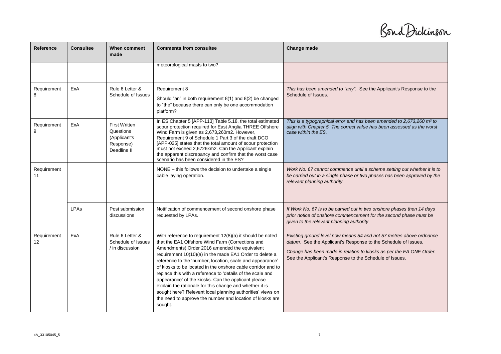Bond Dickinson

| Reference         | <b>Consultee</b> | When comment<br>made                                                          | <b>Comments from consultee</b>                                                                                                                                                                                                                                                                                                                                                                                                                                                                                                                                                                                                                                               | Change made                                                                                                                                                                                                                                                             |
|-------------------|------------------|-------------------------------------------------------------------------------|------------------------------------------------------------------------------------------------------------------------------------------------------------------------------------------------------------------------------------------------------------------------------------------------------------------------------------------------------------------------------------------------------------------------------------------------------------------------------------------------------------------------------------------------------------------------------------------------------------------------------------------------------------------------------|-------------------------------------------------------------------------------------------------------------------------------------------------------------------------------------------------------------------------------------------------------------------------|
|                   |                  |                                                                               | meteorological masts to two?                                                                                                                                                                                                                                                                                                                                                                                                                                                                                                                                                                                                                                                 |                                                                                                                                                                                                                                                                         |
| Requirement<br>8  | ExA              | Rule 6 Letter &<br>Schedule of Issues                                         | Requirement 8<br>Should "an" in both requirement 8(1) and 8(2) be changed<br>to "the" because there can only be one accommodation<br>platform?                                                                                                                                                                                                                                                                                                                                                                                                                                                                                                                               | This has been amended to "any". See the Applicant's Response to the<br>Schedule of Issues.                                                                                                                                                                              |
| Requirement<br>9  | ExA              | <b>First Written</b><br>Questions<br>(Applicant's<br>Response)<br>Deadline II | In ES Chapter 5 [APP-113] Table 5.18, the total estimated<br>scour protection required for East Anglia THREE Offshore<br>Wind Farm is given as 2,673,260m2. However,<br>Requirement 9 of Schedule 1 Part 3 of the draft DCO<br>[APP-025] states that the total amount of scour protection<br>must not exceed 2,6726km2. Can the Applicant explain<br>the apparent discrepancy and confirm that the worst case<br>scenario has been considered in the ES?                                                                                                                                                                                                                     | This is a typographical error and has been amended to 2,673,260 m <sup>2</sup> to<br>align with Chapter 5. The correct value has been assessed as the worst<br>case within the ES.                                                                                      |
| Requirement<br>11 |                  |                                                                               | NONE – this follows the decision to undertake a single<br>cable laying operation.                                                                                                                                                                                                                                                                                                                                                                                                                                                                                                                                                                                            | Work No. 67 cannot commence until a scheme setting out whether it is to<br>be carried out in a single phase or two phases has been approved by the<br>relevant planning authority.                                                                                      |
|                   | <b>LPAs</b>      | Post submission<br>discussions                                                | Notification of commencement of second onshore phase<br>requested by LPAs.                                                                                                                                                                                                                                                                                                                                                                                                                                                                                                                                                                                                   | If Work No. 67 is to be carried out in two onshore phases then 14 days<br>prior notice of onshore commencement for the second phase must be<br>given to the relevant planning authority                                                                                 |
| Requirement<br>12 | ExA              | Rule 6 Letter &<br>Schedule of Issues<br>/ in discussion                      | With reference to requirement 12(8)(a) it should be noted<br>that the EA1 Offshore Wind Farm (Corrections and<br>Amendments) Order 2016 amended the equivalent<br>requirement 10(10)(a) in the made EA1 Order to delete a<br>reference to the 'number, location, scale and appearance'<br>of kiosks to be located in the onshore cable corridor and to<br>replace this with a reference to 'details of the scale and<br>appearance' of the kiosks. Can the applicant please<br>explain the rationale for this change and whether it is<br>sought here? Relevant local planning authorities' views on<br>the need to approve the number and location of kiosks are<br>sought. | Existing ground level now means 54 and not 57 metres above ordnance<br>datum. See the Applicant's Response to the Schedule of Issues.<br>Change has been made in relation to kiosks as per the EA ONE Order.<br>See the Applicant's Response to the Schedule of Issues. |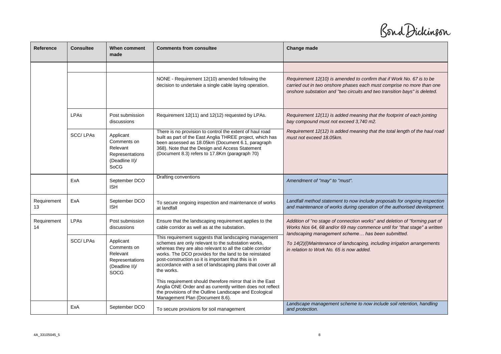Bond Dickinson

| Reference         | <b>Consultee</b> | When comment<br>made                                                                     | <b>Comments from consultee</b>                                                                                                                                                                                                                                                                                                                                                                                                   | Change made                                                                                                                                                                                                                 |
|-------------------|------------------|------------------------------------------------------------------------------------------|----------------------------------------------------------------------------------------------------------------------------------------------------------------------------------------------------------------------------------------------------------------------------------------------------------------------------------------------------------------------------------------------------------------------------------|-----------------------------------------------------------------------------------------------------------------------------------------------------------------------------------------------------------------------------|
|                   |                  |                                                                                          |                                                                                                                                                                                                                                                                                                                                                                                                                                  |                                                                                                                                                                                                                             |
|                   |                  |                                                                                          | NONE - Requirement 12(10) amended following the<br>decision to undertake a single cable laying operation.                                                                                                                                                                                                                                                                                                                        | Requirement 12(10) is amended to confirm that if Work No. 67 is to be<br>carried out in two onshore phases each must comprise no more than one<br>onshore substation and "two circuits and two transition bays" is deleted. |
|                   | <b>LPAs</b>      | Post submission<br>discussions                                                           | Requirement 12(11) and 12(12) requested by LPAs.                                                                                                                                                                                                                                                                                                                                                                                 | Requirement 12(11) is added meaning that the footprint of each jointing<br>bay compound must not exceed 3,740 m2.                                                                                                           |
|                   | SCC/LPAs         | Applicant<br>Comments on<br>Relevant<br>Representations<br>(Deadline II)/<br>SoCG        | There is no provision to control the extent of haul road<br>built as part of the East Anglia THREE project, which has<br>been assessed as 18.05km (Document 6.1, paragraph<br>368). Note that the Design and Access Statement<br>(Document 8.3) refers to 17.8Km (paragraph 70)                                                                                                                                                  | Requirement 12(12) is added meaning that the total length of the haul road<br>must not exceed 18.05km.                                                                                                                      |
|                   | ExA              | September DCO<br><b>ISH</b>                                                              | Drafting conventions                                                                                                                                                                                                                                                                                                                                                                                                             | Amendment of "may" to "must".                                                                                                                                                                                               |
| Requirement<br>13 | ExA              | September DCO<br><b>ISH</b>                                                              | To secure ongoing inspection and maintenance of works<br>at landfall                                                                                                                                                                                                                                                                                                                                                             | Landfall method statement to now include proposals for ongoing inspection<br>and maintenance of works during operation of the authorised development.                                                                       |
| Requirement<br>14 | <b>LPAs</b>      | Post submission<br>discussions                                                           | Ensure that the landscaping requirement applies to the<br>cable corridor as well as at the substation.                                                                                                                                                                                                                                                                                                                           | Addition of "no stage of connection works" and deletion of "forming part of<br>Works Nos 64, 68 and/or 69 may commence until for "that stage" a written<br>landscaping management scheme has been submitted.                |
|                   | SCC/LPAs         | Applicant<br>Comments on<br>Relevant<br>Representations<br>(Deadline II)/<br><b>SOCG</b> | This requirement suggests that landscaping management<br>schemes are only relevant to the substation works,<br>whereas they are also relevant to all the cable corridor<br>works. The DCO provides for the land to be reinstated<br>post-construction so it is important that this is in<br>accordance with a set of landscaping plans that cover all<br>the works.<br>This requirement should therefore mirror that in the East | To 14(2)(I)Maintenance of landscaping, including irrigation arrangements<br>in relation to Work No. 65 is now added.                                                                                                        |
|                   |                  |                                                                                          | Anglia ONE Order and as currently written does not reflect<br>the provisions of the Outline Landscape and Ecological<br>Management Plan (Document 8.6).                                                                                                                                                                                                                                                                          |                                                                                                                                                                                                                             |
|                   | ExA              | September DCO                                                                            | To secure provisions for soil management                                                                                                                                                                                                                                                                                                                                                                                         | Landscape management scheme to now include soil retention, handling<br>and protection.                                                                                                                                      |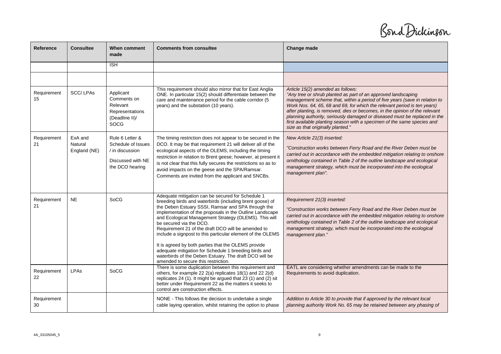Bond Dickinson

| Reference         | <b>Consultee</b>                   | When comment<br>made                                                                             | <b>Comments from consultee</b>                                                                                                                                                                                                                                                                                                                                                                                                                                                                                                                                                                                                                           | Change made                                                                                                                                                                                                                                                                                                                                                                                                                                                                                                                              |
|-------------------|------------------------------------|--------------------------------------------------------------------------------------------------|----------------------------------------------------------------------------------------------------------------------------------------------------------------------------------------------------------------------------------------------------------------------------------------------------------------------------------------------------------------------------------------------------------------------------------------------------------------------------------------------------------------------------------------------------------------------------------------------------------------------------------------------------------|------------------------------------------------------------------------------------------------------------------------------------------------------------------------------------------------------------------------------------------------------------------------------------------------------------------------------------------------------------------------------------------------------------------------------------------------------------------------------------------------------------------------------------------|
|                   |                                    | $\overline{ISH}$                                                                                 |                                                                                                                                                                                                                                                                                                                                                                                                                                                                                                                                                                                                                                                          |                                                                                                                                                                                                                                                                                                                                                                                                                                                                                                                                          |
|                   |                                    |                                                                                                  |                                                                                                                                                                                                                                                                                                                                                                                                                                                                                                                                                                                                                                                          |                                                                                                                                                                                                                                                                                                                                                                                                                                                                                                                                          |
| Requirement<br>15 | SCC/LPAs                           | Applicant<br>Comments on<br>Relevant<br>Representations<br>(Deadline II)/<br><b>SOCG</b>         | This requirement should also mirror that for East Anglia<br>ONE. In particular 15(2) should differentiate between the<br>care and maintenance period for the cable corridor (5<br>years) and the substation (10 years).                                                                                                                                                                                                                                                                                                                                                                                                                                  | Article 15(2) amended as follows:<br>"Any tree or shrub planted as part of an approved landscaping<br>management scheme that, within a period of five years (save in relation to<br>Work Nos. 64, 65, 68 and 69, for which the relevant period is ten years)<br>after planting, is removed, dies or becomes, in the opinion of the relevant<br>planning authority, seriously damaged or diseased must be replaced in the<br>first available planting season with a specimen of the same species and<br>size as that originally planted." |
| Requirement<br>21 | ExA and<br>Natural<br>England (NE) | Rule 6 Letter &<br>Schedule of Issues<br>/ in discussion<br>Discussed with NE<br>the DCO hearing | The timing restriction does not appear to be secured in the<br>DCO. It may be that requirement 21 will deliver all of the<br>ecological aspects of the OLEMS, including the timing<br>restriction in relation to Brent geese; however, at present it<br>is not clear that this fully secures the restrictions so as to<br>avoid impacts on the geese and the SPA/Ramsar.<br>Comments are invited from the applicant and SNCBs.                                                                                                                                                                                                                           | New Article 21(3) inserted:<br>"Construction works between Ferry Road and the River Deben must be<br>carried out in accordance with the embedded mitigation relating to onshore<br>ornithology contained in Table 2 of the outline landscape and ecological<br>management strategy, which must be incorporated into the ecological<br>management plan".                                                                                                                                                                                  |
| Requirement<br>21 | <b>NE</b>                          | SoCG                                                                                             | Adequate mitigation can be secured for Schedule 1<br>breeding birds and waterbirds (including brent goose) of<br>the Deben Estuary SSSI, Ramsar and SPA through the<br>implementation of the proposals in the Outline Landscape<br>and Ecological Management Strategy (OLEMS). This will<br>be secured via the DCO.<br>Requirement 21 of the draft DCO will be amended to<br>include a signpost to this particular element of the OLEMS<br>It is agreed by both parties that the OLEMS provide<br>adequate mitigation for Schedule 1 breeding birds and<br>waterbirds of the Deben Estuary. The draft DCO will be<br>amended to secure this restriction. | Requirement 21(3) inserted:<br>"Construction works between Ferry Road and the River Deben must be<br>carried out in accordance with the embedded mitigation relating to onshore<br>ornithology contained in Table 2 of the outline landscape and ecological<br>management strategy, which must be incorporated into the ecological<br>management plan."                                                                                                                                                                                  |
| Requirement<br>22 | <b>LPAs</b>                        | SoCG                                                                                             | There is some duplication between this requirement and<br>others, for example 22 2(a) replicates 18(1) and 22 2(d)<br>replicates 24 (1). It might be argued that 23 (1) and (2) sit<br>better under Requirement 22 as the matters it seeks to<br>control are construction effects.                                                                                                                                                                                                                                                                                                                                                                       | EATL are considering whether amendments can be made to the<br>Requirements to avoid duplication.                                                                                                                                                                                                                                                                                                                                                                                                                                         |
| Requirement<br>30 |                                    |                                                                                                  | NONE - This follows the decision to undertake a single<br>cable laying operation, whilst retaining the option to phase                                                                                                                                                                                                                                                                                                                                                                                                                                                                                                                                   | Addition to Article 30 to provide that if approved by the relevant local<br>planning authority Work No. 65 may be retained between any phasing of                                                                                                                                                                                                                                                                                                                                                                                        |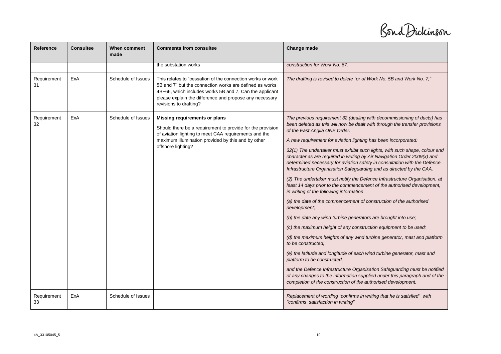Bond Dickinson

| <b>Reference</b>  | <b>Consultee</b> | <b>When comment</b><br>made | <b>Comments from consultee</b>                                                                                                                                                                                                                                        | Change made                                                                                                                                                                                                                                                                                                                                                                                                                                                                                                                                                                                                                                                                                                                                                                                                                                                                                                                                                                                                                                                                                                                                                                                                                                                                                                                                                                                                                                     |
|-------------------|------------------|-----------------------------|-----------------------------------------------------------------------------------------------------------------------------------------------------------------------------------------------------------------------------------------------------------------------|-------------------------------------------------------------------------------------------------------------------------------------------------------------------------------------------------------------------------------------------------------------------------------------------------------------------------------------------------------------------------------------------------------------------------------------------------------------------------------------------------------------------------------------------------------------------------------------------------------------------------------------------------------------------------------------------------------------------------------------------------------------------------------------------------------------------------------------------------------------------------------------------------------------------------------------------------------------------------------------------------------------------------------------------------------------------------------------------------------------------------------------------------------------------------------------------------------------------------------------------------------------------------------------------------------------------------------------------------------------------------------------------------------------------------------------------------|
|                   |                  |                             | the substation works                                                                                                                                                                                                                                                  | construction for Work No. 67.                                                                                                                                                                                                                                                                                                                                                                                                                                                                                                                                                                                                                                                                                                                                                                                                                                                                                                                                                                                                                                                                                                                                                                                                                                                                                                                                                                                                                   |
| Requirement<br>31 | ExA              | Schedule of Issues          | This relates to "cessation of the connection works or work<br>5B and 7" but the connection works are defined as works<br>4B-66, which includes works 5B and 7. Can the applicant<br>please explain the difference and propose any necessary<br>revisions to drafting? | The drafting is revised to delete "or of Work No. 5B and Work No. 7,"                                                                                                                                                                                                                                                                                                                                                                                                                                                                                                                                                                                                                                                                                                                                                                                                                                                                                                                                                                                                                                                                                                                                                                                                                                                                                                                                                                           |
| Requirement<br>32 | ExA              | Schedule of Issues          | Missing requirements or plans<br>Should there be a requirement to provide for the provision<br>of aviation lighting to meet CAA requirements and the<br>maximum illumination provided by this and by other<br>offshore lighting?                                      | The previous requirement 32 (dealing with decommissioning of ducts) has<br>been deleted as this will now be dealt with through the transfer provisions<br>of the East Anglia ONE Order.<br>A new requirement for aviation lighting has been incorporated:<br>32(1) The undertaker must exhibit such lights, with such shape, colour and<br>character as are required in writing by Air Navigation Order 2009(x) and<br>determined necessary for aviation safety in consultation with the Defence<br>Infrastructure Organisation Safeguarding and as directed by the CAA.<br>(2) The undertaker must notify the Defence Infrastructure Organisation, at<br>least 14 days prior to the commencement of the authorised development,<br>in writing of the following information<br>(a) the date of the commencement of construction of the authorised<br>development;<br>(b) the date any wind turbine generators are brought into use;<br>(c) the maximum height of any construction equipment to be used;<br>(d) the maximum heights of any wind turbine generator, mast and platform<br>to be constructed:<br>(e) the latitude and longitude of each wind turbine generator, mast and<br>platform to be constructed,<br>and the Defence Infrastructure Organisation Safeguarding must be notified<br>of any changes to the information supplied under this paragraph and of the<br>completion of the construction of the authorised development. |
| Requirement<br>33 | ExA              | Schedule of Issues          |                                                                                                                                                                                                                                                                       | Replacement of wording "confirms in writing that he is satisfied" with<br>"confirms satisfaction in writing"                                                                                                                                                                                                                                                                                                                                                                                                                                                                                                                                                                                                                                                                                                                                                                                                                                                                                                                                                                                                                                                                                                                                                                                                                                                                                                                                    |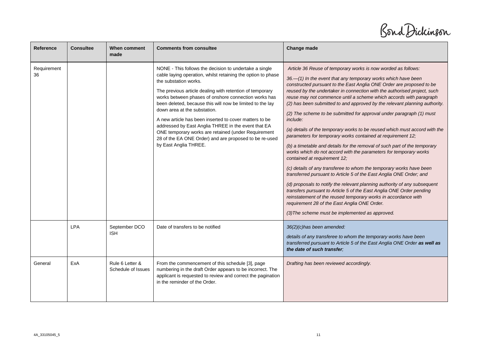Bond Dickinson

| Reference         | <b>Consultee</b> | When comment<br>made                  | <b>Comments from consultee</b>                                                                                                                                                                                                                                                                                                                                                                                                                                                                                                                                                                                              | Change made                                                                                                                                                                                                                                                                                                                                                                                                                                                                                                                                                                                                                                                                                                                                                                                                                                                                                                                                                                                                                                                                                                                                                                                                                                                                                                                       |
|-------------------|------------------|---------------------------------------|-----------------------------------------------------------------------------------------------------------------------------------------------------------------------------------------------------------------------------------------------------------------------------------------------------------------------------------------------------------------------------------------------------------------------------------------------------------------------------------------------------------------------------------------------------------------------------------------------------------------------------|-----------------------------------------------------------------------------------------------------------------------------------------------------------------------------------------------------------------------------------------------------------------------------------------------------------------------------------------------------------------------------------------------------------------------------------------------------------------------------------------------------------------------------------------------------------------------------------------------------------------------------------------------------------------------------------------------------------------------------------------------------------------------------------------------------------------------------------------------------------------------------------------------------------------------------------------------------------------------------------------------------------------------------------------------------------------------------------------------------------------------------------------------------------------------------------------------------------------------------------------------------------------------------------------------------------------------------------|
| Requirement<br>36 |                  |                                       | NONE - This follows the decision to undertake a single<br>cable laying operation, whilst retaining the option to phase<br>the substation works.<br>The previous article dealing with retention of temporary<br>works between phases of onshore connection works has<br>been deleted, because this will now be limited to the lay<br>down area at the substation.<br>A new article has been inserted to cover matters to be<br>addressed by East Anglia THREE in the event that EA<br>ONE temporary works are retained (under Requirement<br>28 of the EA ONE Order) and are proposed to be re-used<br>by East Anglia THREE. | Article 36 Reuse of temporary works is now worded as follows:<br>36.-(1) In the event that any temporary works which have been<br>constructed pursuant to the East Anglia ONE Order are proposed to be<br>reused by the undertaker in connection with the authorised project, such<br>reuse may not commence until a scheme which accords with paragraph<br>(2) has been submitted to and approved by the relevant planning authority.<br>(2) The scheme to be submitted for approval under paragraph (1) must<br>include:<br>(a) details of the temporary works to be reused which must accord with the<br>parameters for temporary works contained at requirement 12;<br>(b) a timetable and details for the removal of such part of the temporary<br>works which do not accord with the parameters for temporary works<br>contained at requirement 12;<br>(c) details of any transferee to whom the temporary works have been<br>transferred pursuant to Article 5 of the East Anglia ONE Order; and<br>(d) proposals to notify the relevant planning authority of any subsequent<br>transfers pursuant to Article 5 of the East Anglia ONE Order pending<br>reinstatement of the reused temporary works in accordance with<br>requirement 28 of the East Anglia ONE Order.<br>(3) The scheme must be implemented as approved. |
|                   | <b>LPA</b>       | September DCO<br><b>ISH</b>           | Date of transfers to be notified                                                                                                                                                                                                                                                                                                                                                                                                                                                                                                                                                                                            | 36(2)(c)has been amended:<br>details of any transferee to whom the temporary works have been<br>transferred pursuant to Article 5 of the East Anglia ONE Order as well as<br>the date of such transfer;                                                                                                                                                                                                                                                                                                                                                                                                                                                                                                                                                                                                                                                                                                                                                                                                                                                                                                                                                                                                                                                                                                                           |
| General           | ExA              | Rule 6 Letter &<br>Schedule of Issues | From the commencement of this schedule [3], page<br>numbering in the draft Order appears to be incorrect. The<br>applicant is requested to review and correct the pagination<br>in the reminder of the Order.                                                                                                                                                                                                                                                                                                                                                                                                               | Drafting has been reviewed accordingly.                                                                                                                                                                                                                                                                                                                                                                                                                                                                                                                                                                                                                                                                                                                                                                                                                                                                                                                                                                                                                                                                                                                                                                                                                                                                                           |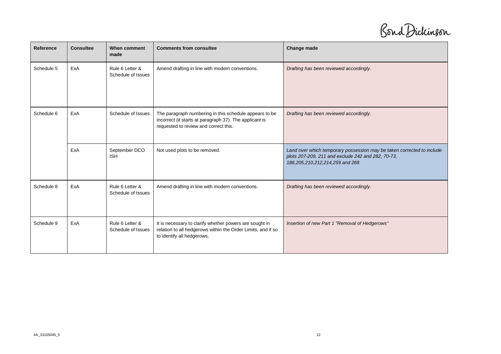Bond Dickinson

| Reference  | <b>Consultee</b> | When comment<br>made                  | <b>Comments from consultee</b>                                                                                                                             | Change made                                                                                                                                                     |
|------------|------------------|---------------------------------------|------------------------------------------------------------------------------------------------------------------------------------------------------------|-----------------------------------------------------------------------------------------------------------------------------------------------------------------|
| Schedule 5 | ExA              | Rule 6 Letter &<br>Schedule of Issues | Amend drafting in line with modern conventions.                                                                                                            | Drafting has been reviewed accordingly.                                                                                                                         |
| Schedule 6 | ExA              | Schedule of Issues                    | The paragraph numbering in this schedule appears to be<br>incorrect (it starts at paragraph 37). The applicant is<br>requested to review and correct this. | Drafting has been reviewed accordingly.                                                                                                                         |
|            | ExA              | September DCO<br><b>ISH</b>           | Not used plots to be removed.                                                                                                                              | Land over which temporary possession may be taken corrected to include<br>plots 207-209, 211 and exclude 242 and 282, 70-73,<br>186,205,210,212,214,259 and 268 |
| Schedule 8 | ExA              | Rule 6 Letter &<br>Schedule of Issues | Amend drafting in line with modern conventions.                                                                                                            | Drafting has been reviewed accordingly.                                                                                                                         |
| Schedule 9 | ExA              | Rule 6 Letter &<br>Schedule of Issues | It is necessary to clarify whether powers are sought in<br>relation to all hedgerows within the Order Limits, and if so<br>to identify all hedgerows.      | Insertion of new Part 1 "Removal of Hedgerows"                                                                                                                  |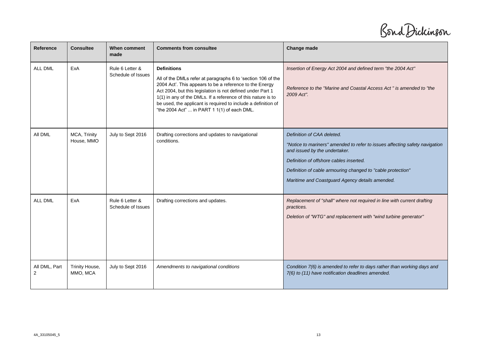Bond Dickinson

| <b>Reference</b>   | <b>Consultee</b>           | When comment<br>made                  | <b>Comments from consultee</b>                                                                                                                                                                                                                                                                                                                                                              | Change made                                                                                                                                                                                                                                                                                             |
|--------------------|----------------------------|---------------------------------------|---------------------------------------------------------------------------------------------------------------------------------------------------------------------------------------------------------------------------------------------------------------------------------------------------------------------------------------------------------------------------------------------|---------------------------------------------------------------------------------------------------------------------------------------------------------------------------------------------------------------------------------------------------------------------------------------------------------|
| <b>ALL DML</b>     | ExA                        | Rule 6 Letter &<br>Schedule of Issues | <b>Definitions</b><br>All of the DMLs refer at paragraphs 6 to 'section 106 of the<br>2004 Act'. This appears to be a reference to the Energy<br>Act 2004, but this legislation is not defined under Part 1<br>1(1) in any of the DMLs. If a reference of this nature is to<br>be used, the applicant is required to include a definition of<br>"the 2004 Act"  in PART 1 1(1) of each DML. | Insertion of Energy Act 2004 and defined term "the 2004 Act"<br>Reference to the "Marine and Coastal Access Act" is amended to "the<br>2009 Act".                                                                                                                                                       |
| All DML            | MCA, Trinity<br>House, MMO | July to Sept 2016                     | Drafting corrections and updates to navigational<br>conditions.                                                                                                                                                                                                                                                                                                                             | Definition of CAA deleted.<br>"Notice to mariners" amended to refer to issues affecting safety navigation<br>and issued by the undertaker.<br>Definition of offshore cables inserted.<br>Definition of cable armouring changed to "cable protection"<br>Maritime and Coastguard Agency details amended. |
| <b>ALL DML</b>     | ExA                        | Rule 6 Letter &<br>Schedule of Issues | Drafting corrections and updates.                                                                                                                                                                                                                                                                                                                                                           | Replacement of "shall" where not required in line with current drafting<br>practices.<br>Deletion of "WTG" and replacement with "wind turbine generator"                                                                                                                                                |
| All DML, Part<br>2 | Trinity House,<br>MMO, MCA | July to Sept 2016                     | Amendments to navigational conditions                                                                                                                                                                                                                                                                                                                                                       | Condition 7(6) is amended to refer to days rather than working days and<br>7(6) to (11) have notification deadlines amended.                                                                                                                                                                            |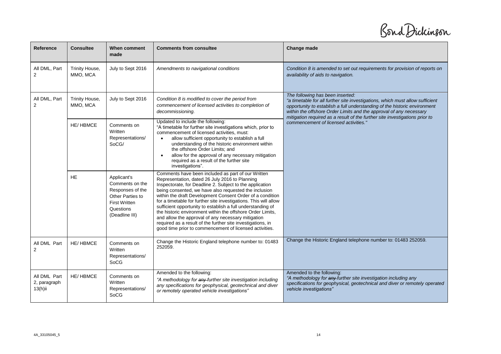Bond Dickinson

| Reference                                  | <b>Consultee</b>           | When comment<br>made                                                                                                          | <b>Comments from consultee</b>                                                                                                                                                                                                                                                                                                                                                                                                                                                                                                                                                                                                                                          | <b>Change made</b>                                                                                                                                                                                                                                                                                                                                  |
|--------------------------------------------|----------------------------|-------------------------------------------------------------------------------------------------------------------------------|-------------------------------------------------------------------------------------------------------------------------------------------------------------------------------------------------------------------------------------------------------------------------------------------------------------------------------------------------------------------------------------------------------------------------------------------------------------------------------------------------------------------------------------------------------------------------------------------------------------------------------------------------------------------------|-----------------------------------------------------------------------------------------------------------------------------------------------------------------------------------------------------------------------------------------------------------------------------------------------------------------------------------------------------|
| All DML, Part<br>2                         | Trinity House,<br>MMO, MCA | July to Sept 2016                                                                                                             | Amendments to navigational conditions                                                                                                                                                                                                                                                                                                                                                                                                                                                                                                                                                                                                                                   | Condition 8 is amended to set out requirements for provision of reports on<br>availability of aids to navigation.                                                                                                                                                                                                                                   |
| All DML, Part<br>2                         | Trinity House,<br>MMO, MCA | July to Sept 2016                                                                                                             | Condition 8 is modified to cover the period from<br>commencement of licensed activities to completion of<br>decommissioning.                                                                                                                                                                                                                                                                                                                                                                                                                                                                                                                                            | The following has been inserted:<br>"a timetable for all further site investigations, which must allow sufficient<br>opportunity to establish a full understanding of the historic environment<br>within the offshore Order Limits and the approval of any necessary<br>mitigation required as a result of the further site investigations prior to |
|                                            | <b>HE/HBMCE</b>            | Comments on<br>Written<br>Representations/<br>SoCG/                                                                           | Updated to include the following:<br>"A timetable for further site investigations which, prior to<br>commencement of licensed activities, must:<br>allow sufficient opportunity to establish a full<br>understanding of the historic environment within<br>the offshore Order Limits; and<br>allow for the approval of any necessary mitigation<br>$\bullet$<br>required as a result of the further site<br>investigations".                                                                                                                                                                                                                                            | commencement of licensed activities."                                                                                                                                                                                                                                                                                                               |
|                                            | <b>HE</b>                  | Applicant's<br>Comments on the<br>Responses of the<br>Other Parties to<br><b>First Written</b><br>Questions<br>(Deadline III) | Comments have been included as part of our Written<br>Representation, dated 26 July 2016 to Planning<br>Inspectorate, for Deadline 2. Subject to the application<br>being consented, we have also requested the inclusion<br>within the draft Development Consent Order of a condition<br>for a timetable for further site investigations. This will allow<br>sufficient opportunity to establish a full understanding of<br>the historic environment within the offshore Order Limits,<br>and allow the approval of any necessary mitigation<br>required as a result of the further site investigations, in<br>good time prior to commencement of licensed activities. |                                                                                                                                                                                                                                                                                                                                                     |
| All DML Part<br>2                          | <b>HE/HBMCE</b>            | Comments on<br>Written<br>Representations/<br>SoCG                                                                            | Change the Historic England telephone number to: 01483<br>252059.                                                                                                                                                                                                                                                                                                                                                                                                                                                                                                                                                                                                       | Change the Historic England telephone number to: 01483 252059.                                                                                                                                                                                                                                                                                      |
| All DML Part<br>2, paragraph<br>$13(h)$ ii | <b>HE/HBMCE</b>            | Comments on<br>Written<br>Representations/<br>SoCG                                                                            | Amended to the following:<br>"A methodology for any further site investigation including<br>any specifications for geophysical, geotechnical and diver<br>or remotely operated vehicle investigations"                                                                                                                                                                                                                                                                                                                                                                                                                                                                  | Amended to the following:<br>"A methodology for any further site investigation including any<br>specifications for geophysical, geotechnical and diver or remotely operated<br>vehicle investigations"                                                                                                                                              |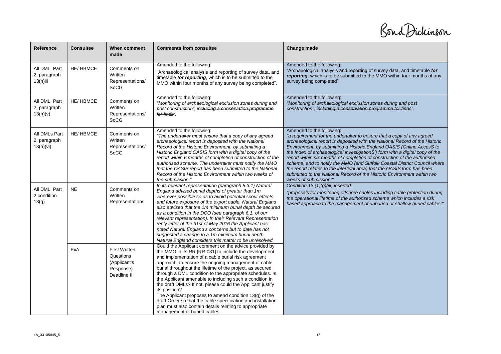Bond Dickinson

| Reference                                   | <b>Consultee</b> | <b>When comment</b><br>made                                                   | <b>Comments from consultee</b>                                                                                                                                                                                                                                                                                                                                                                                                                                                                                                                                                                                                                                                                                      | Change made                                                                                                                                                                                                                                                                                                                                                                                                                                                                                                                                                                                                                                                                        |
|---------------------------------------------|------------------|-------------------------------------------------------------------------------|---------------------------------------------------------------------------------------------------------------------------------------------------------------------------------------------------------------------------------------------------------------------------------------------------------------------------------------------------------------------------------------------------------------------------------------------------------------------------------------------------------------------------------------------------------------------------------------------------------------------------------------------------------------------------------------------------------------------|------------------------------------------------------------------------------------------------------------------------------------------------------------------------------------------------------------------------------------------------------------------------------------------------------------------------------------------------------------------------------------------------------------------------------------------------------------------------------------------------------------------------------------------------------------------------------------------------------------------------------------------------------------------------------------|
| All DML Part<br>2, paragraph<br>$13(h)$ iii | <b>HE/HBMCE</b>  | Comments on<br>Written<br>Representations/<br>SoCG                            | Amended to the following:<br>"Archaeological analysis and reporting of survey data, and<br>timetable for reporting, which is to be submitted to the<br>MMO within four months of any survey being completed".                                                                                                                                                                                                                                                                                                                                                                                                                                                                                                       | Amended to the following:<br>"Archaeological analysis and reporting of survey data, and timetable for<br>reporting, which is to be submitted to the MMO within four months of any<br>survey being completed".                                                                                                                                                                                                                                                                                                                                                                                                                                                                      |
| All DML Part<br>2, paragraph<br>13(h)(v)    | <b>HE/HBMCE</b>  | Comments on<br>Written<br>Representations/<br>SoCG                            | Amended to the following:<br>"Monitoring of archaeological exclusion zones during and<br>post construction", including a conservation programme<br>for finds:.                                                                                                                                                                                                                                                                                                                                                                                                                                                                                                                                                      | Amended to the following:<br>"Monitoring of archaeological exclusion zones during and post<br>construction", including a conservation programme for finds;.                                                                                                                                                                                                                                                                                                                                                                                                                                                                                                                        |
| All DMLs Part<br>2, paragraph<br>13(h)(vi)  | <b>HE/HBMCE</b>  | Comments on<br>Written<br>Representations/<br>SoCG                            | Amended to the following:<br>"The undertaker must ensure that a copy of any agreed<br>archaeological report is deposited with the National<br>Record of the Historic Environment, by submitting a<br>Historic England OASIS form with a digital copy of the<br>report within 6 months of completion of construction of the<br>authorised scheme. The undertaker must notify the MMO<br>that the OASIS report has been submitted to the National<br>Record of the Historic Environment within two weeks of<br>the submission."                                                                                                                                                                                       | Amended to the following:<br>"a requirement for the undertaker to ensure that a copy of any agreed<br>archaeological report is deposited with the National Record of the Historic<br>Environment, by submitting a Historic England OASIS (Online AccesS to<br>the Index of archaeological investigationS') form with a digital copy of the<br>report within six months of completion of construction of the authorised<br>scheme, and to notify the MMO (and Suffolk Coastal District Council where<br>the report relates to the intertidal area) that the OASIS form has been<br>submitted to the National Record of the Historic Environment within two<br>weeks of submission;" |
| All DML Part<br>2 condition<br>13(g)        | <b>NE</b>        | Comments on<br>Written<br>Representations                                     | In its relevant representation (paragraph 5.3.1) Natural<br>England advised burial depths of greater than 1m<br>wherever possible so as to avoid potential scour effects<br>and future exposure of the export cable. Natural England<br>also advised that the 1m minimum burial depth be secured<br>as a condition in the DCO (see paragraph 6.1. of our<br>relevant representation). In their Relevant Representation<br>reply letter of the 31st of May 2016 the Applicant has<br>noted Natural England's concerns but to date has not<br>suggested a change to a 1m minimum burial depth.<br>Natural England considers this matter to be unresolved.                                                             | Condition 13 $(1)(g)(iii)$ inserted:<br>"proposals for monitoring offshore cables including cable protection during<br>the operational lifetime of the authorised scheme which includes a risk<br>based approach to the management of unburied or shallow buried cables;"                                                                                                                                                                                                                                                                                                                                                                                                          |
|                                             | ExA              | <b>First Written</b><br>Questions<br>(Applicant's<br>Response)<br>Deadline II | Could the Applicant comment on the advice provided by<br>the MMO in its RR [RR-031] to include the development<br>and implementation of a cable burial risk agreement<br>approach, to ensure the ongoing management of cable<br>burial throughout the lifetime of the project, as secured<br>through a DML condition to the appropriate schedules. Is<br>the Applicant amenable to including such a condition in<br>the draft DMLs? If not, please could the Applicant justify<br>its position?<br>The Applicant proposes to amend condition 13(g) of the<br>draft Order so that the cable specification and installation<br>plan must also contain details relating to appropriate<br>management of buried cables. |                                                                                                                                                                                                                                                                                                                                                                                                                                                                                                                                                                                                                                                                                    |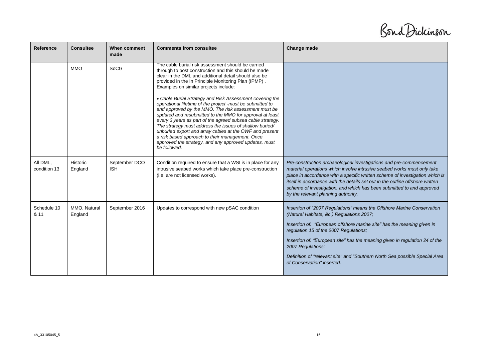Bond Dickinson

| Reference                | <b>Consultee</b>        | When comment<br>made        | <b>Comments from consultee</b>                                                                                                                                                                                                                                                                                                                                                                                                                                                                                                                                                                                                                                                                                                                           | Change made                                                                                                                                                                                                                                                                                                                                                                                                                     |
|--------------------------|-------------------------|-----------------------------|----------------------------------------------------------------------------------------------------------------------------------------------------------------------------------------------------------------------------------------------------------------------------------------------------------------------------------------------------------------------------------------------------------------------------------------------------------------------------------------------------------------------------------------------------------------------------------------------------------------------------------------------------------------------------------------------------------------------------------------------------------|---------------------------------------------------------------------------------------------------------------------------------------------------------------------------------------------------------------------------------------------------------------------------------------------------------------------------------------------------------------------------------------------------------------------------------|
|                          | <b>MMO</b>              | SoCG                        | The cable burial risk assessment should be carried<br>through to post construction and this should be made<br>clear in the DML and additional detail should also be<br>provided in the In Principle Monitoring Plan (IPMP).<br>Examples on similar projects include:<br>• Cable Burial Strategy and Risk Assessment covering the<br>operational lifetime of the project -must be submitted to<br>and approved by the MMO. The risk assessment must be<br>updated and resubmitted to the MMO for approval at least<br>every 3 years as part of the agreed subsea cable strategy.<br>The strategy must address the issues of shallow buried/<br>unburied export and array cables at the OWF and present<br>a risk based approach to their management. Once |                                                                                                                                                                                                                                                                                                                                                                                                                                 |
|                          |                         |                             | approved the strategy, and any approved updates, must<br>be followed.                                                                                                                                                                                                                                                                                                                                                                                                                                                                                                                                                                                                                                                                                    |                                                                                                                                                                                                                                                                                                                                                                                                                                 |
| All DML.<br>condition 13 | Historic<br>England     | September DCO<br><b>ISH</b> | Condition required to ensure that a WSI is in place for any<br>intrusive seabed works which take place pre-construction<br>(i.e. are not licensed works).                                                                                                                                                                                                                                                                                                                                                                                                                                                                                                                                                                                                | Pre-construction archaeological investigations and pre-commencement<br>material operations which involve intrusive seabed works must only take<br>place in accordance with a specific written scheme of investigation which is<br>itself in accordance with the details set out in the outline offshore written<br>scheme of investigation, and which has been submitted to and approved<br>by the relevant planning authority. |
| Schedule 10<br>& 11      | MMO, Natural<br>England | September 2016              | Updates to correspond with new pSAC condition                                                                                                                                                                                                                                                                                                                                                                                                                                                                                                                                                                                                                                                                                                            | Insertion of "2007 Regulations" means the Offshore Marine Conservation<br>(Natural Habitats, &c.) Regulations 2007;                                                                                                                                                                                                                                                                                                             |
|                          |                         |                             |                                                                                                                                                                                                                                                                                                                                                                                                                                                                                                                                                                                                                                                                                                                                                          | Insertion of: "European offshore marine site" has the meaning given in<br>regulation 15 of the 2007 Regulations;                                                                                                                                                                                                                                                                                                                |
|                          |                         |                             |                                                                                                                                                                                                                                                                                                                                                                                                                                                                                                                                                                                                                                                                                                                                                          | Insertion of: "European site" has the meaning given in regulation 24 of the<br>2007 Regulations;                                                                                                                                                                                                                                                                                                                                |
|                          |                         |                             |                                                                                                                                                                                                                                                                                                                                                                                                                                                                                                                                                                                                                                                                                                                                                          | Definition of "relevant site" and "Southern North Sea possible Special Area<br>of Conservation" inserted.                                                                                                                                                                                                                                                                                                                       |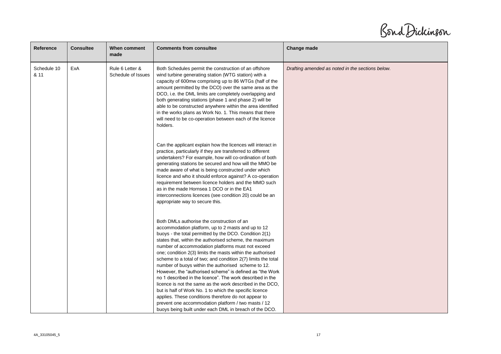Bond Dickinson

| Reference           | <b>Consultee</b> | When comment<br>made                  | <b>Comments from consultee</b>                                                                                                                                                                                                                                                                                                                                                                                                                                                                                                                                                                                                                                                                                                                                                                                                                                                            | Change made                                      |
|---------------------|------------------|---------------------------------------|-------------------------------------------------------------------------------------------------------------------------------------------------------------------------------------------------------------------------------------------------------------------------------------------------------------------------------------------------------------------------------------------------------------------------------------------------------------------------------------------------------------------------------------------------------------------------------------------------------------------------------------------------------------------------------------------------------------------------------------------------------------------------------------------------------------------------------------------------------------------------------------------|--------------------------------------------------|
| Schedule 10<br>& 11 | ExA              | Rule 6 Letter &<br>Schedule of Issues | Both Schedules permit the construction of an offshore<br>wind turbine generating station (WTG station) with a<br>capacity of 600mw comprising up to 86 WTGs (half of the<br>amount permitted by the DCO) over the same area as the<br>DCO, i.e. the DML limits are completely overlapping and<br>both generating stations (phase 1 and phase 2) will be<br>able to be constructed anywhere within the area identified<br>in the works plans as Work No. 1. This means that there<br>will need to be co-operation between each of the licence<br>holders.                                                                                                                                                                                                                                                                                                                                  | Drafting amended as noted in the sections below. |
|                     |                  |                                       | Can the applicant explain how the licences will interact in<br>practice, particularly if they are transferred to different<br>undertakers? For example, how will co-ordination of both<br>generating stations be secured and how will the MMO be<br>made aware of what is being constructed under which<br>licence and who it should enforce against? A co-operation<br>requirement between licence holders and the MMO such<br>as in the made Hornsea 1 DCO or in the EA1<br>interconnections licences (see condition 20) could be an<br>appropriate way to secure this.                                                                                                                                                                                                                                                                                                                 |                                                  |
|                     |                  |                                       | Both DMLs authorise the construction of an<br>accommodation platform, up to 2 masts and up to 12<br>buoys - the total permitted by the DCO. Condition 2(1)<br>states that, within the authorised scheme, the maximum<br>number of accommodation platforms must not exceed<br>one; condition 2(3) limits the masts within the authorised<br>scheme to a total of two; and condition 2(7) limits the total<br>number of buoys within the authorised scheme to 12.<br>However, the "authorised scheme" is defined as "the Work<br>no 1 described in the licence". The work described in the<br>licence is not the same as the work described in the DCO.<br>but is half of Work No. 1 to which the specific licence<br>applies. These conditions therefore do not appear to<br>prevent one accommodation platform / two masts / 12<br>buoys being built under each DML in breach of the DCO. |                                                  |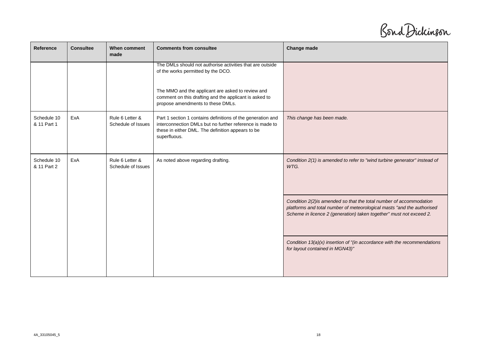Bond Dickinson

| Reference                  | <b>Consultee</b> | When comment<br>made                  | <b>Comments from consultee</b>                                                                                                                                                               | Change made                                                                                                                                                                                                          |
|----------------------------|------------------|---------------------------------------|----------------------------------------------------------------------------------------------------------------------------------------------------------------------------------------------|----------------------------------------------------------------------------------------------------------------------------------------------------------------------------------------------------------------------|
|                            |                  |                                       | The DMLs should not authorise activities that are outside<br>of the works permitted by the DCO.                                                                                              |                                                                                                                                                                                                                      |
|                            |                  |                                       | The MMO and the applicant are asked to review and<br>comment on this drafting and the applicant is asked to<br>propose amendments to these DMLs.                                             |                                                                                                                                                                                                                      |
| Schedule 10<br>& 11 Part 1 | ExA              | Rule 6 Letter &<br>Schedule of Issues | Part 1 section 1 contains definitions of the generation and<br>interconnection DMLs but no further reference is made to<br>these in either DML. The definition appears to be<br>superfluous. | This change has been made.                                                                                                                                                                                           |
| Schedule 10<br>& 11 Part 2 | ExA              | Rule 6 Letter &<br>Schedule of Issues | As noted above regarding drafting.                                                                                                                                                           | Condition 2(1) is amended to refer to "wind turbine generator" instead of<br>WTG.                                                                                                                                    |
|                            |                  |                                       |                                                                                                                                                                                              | Condition 2(2) is amended so that the total number of accommodation<br>platforms and total number of meteorological masts "and the authorised<br>Scheme in licence 2 (generation) taken together" must not exceed 2. |
|                            |                  |                                       |                                                                                                                                                                                              | Condition $13(a)(x)$ insertion of "(in accordance with the recommendations<br>for layout contained in MGN43)"                                                                                                        |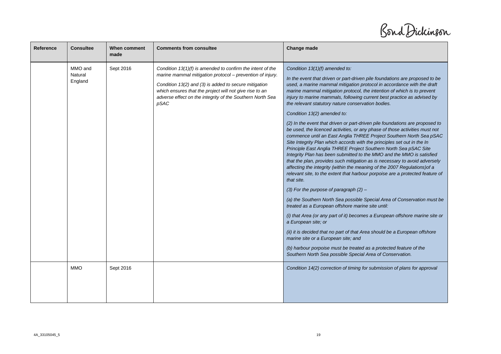Bond Dickinson

| Reference | <b>Consultee</b>              | When comment<br>made | <b>Comments from consultee</b>                                                                                                                                                                                                                                                                                     | Change made                                                                                                                                                                                                                                                                                                                                                                                                                                                                                                                                                                                                                                                                                                                                                                                                                                                                                                                                                                                                                                                                                                                                                                                                                                                                                                                                                                                                                                                                                                                                                                                                                                                                                            |
|-----------|-------------------------------|----------------------|--------------------------------------------------------------------------------------------------------------------------------------------------------------------------------------------------------------------------------------------------------------------------------------------------------------------|--------------------------------------------------------------------------------------------------------------------------------------------------------------------------------------------------------------------------------------------------------------------------------------------------------------------------------------------------------------------------------------------------------------------------------------------------------------------------------------------------------------------------------------------------------------------------------------------------------------------------------------------------------------------------------------------------------------------------------------------------------------------------------------------------------------------------------------------------------------------------------------------------------------------------------------------------------------------------------------------------------------------------------------------------------------------------------------------------------------------------------------------------------------------------------------------------------------------------------------------------------------------------------------------------------------------------------------------------------------------------------------------------------------------------------------------------------------------------------------------------------------------------------------------------------------------------------------------------------------------------------------------------------------------------------------------------------|
|           | MMO and<br>Natural<br>England | Sept 2016            | Condition $13(1)(f)$ is amended to confirm the intent of the<br>marine mammal mitigation protocol - prevention of injury.<br>Condition 13(2) and (3) is added to secure mitigation<br>which ensures that the project will not give rise to an<br>adverse effect on the integrity of the Southern North Sea<br>pSAC | Condition 13(1)(f) amended to:<br>In the event that driven or part-driven pile foundations are proposed to be<br>used, a marine mammal mitigation protocol in accordance with the draft<br>marine mammal mitigation protocol, the intention of which is to prevent<br>injury to marine mammals, following current best practice as advised by<br>the relevant statutory nature conservation bodies.<br>Condition 13(2) amended to:<br>(2) In the event that driven or part-driven pile foundations are proposed to<br>be used, the licenced activities, or any phase of those activities must not<br>commence until an East Anglia THREE Project Southern North Sea pSAC<br>Site Integrity Plan which accords with the principles set out in the In<br>Principle East Anglia THREE Project Southern North Sea pSAC Site<br>Integrity Plan has been submitted to the MMO and the MMO is satisfied<br>that the plan, provides such mitigation as is necessary to avoid adversely<br>affecting the integrity (within the meaning of the 2007 Regulations) of a<br>relevant site, to the extent that harbour porpoise are a protected feature of<br>that site.<br>(3) For the purpose of paragraph $(2)$ -<br>(a) the Southern North Sea possible Special Area of Conservation must be<br>treated as a European offshore marine site until:<br>(i) that Area (or any part of it) becomes a European offshore marine site or<br>a European site; or<br>(ii) it is decided that no part of that Area should be a European offshore<br>marine site or a European site; and<br>(b) harbour porpoise must be treated as a protected feature of the<br>Southern North Sea possible Special Area of Conservation. |
|           | <b>MMO</b>                    | Sept 2016            |                                                                                                                                                                                                                                                                                                                    | Condition 14(2) correction of timing for submission of plans for approval                                                                                                                                                                                                                                                                                                                                                                                                                                                                                                                                                                                                                                                                                                                                                                                                                                                                                                                                                                                                                                                                                                                                                                                                                                                                                                                                                                                                                                                                                                                                                                                                                              |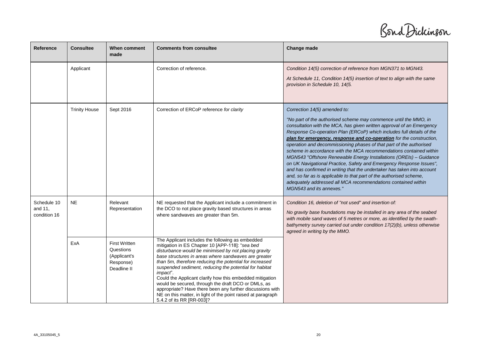Bond Dickinson

| Reference                              | <b>Consultee</b>     | When comment<br>made                                                          | <b>Comments from consultee</b>                                                                                                                                                                                                                                                                                                                                                                                                                                                                                                                                                                                                     | Change made                                                                                                                                                                                                                                                                                                                                                                                                                                                                                                                                                                                                                                                                                                                                                                                                                                                        |
|----------------------------------------|----------------------|-------------------------------------------------------------------------------|------------------------------------------------------------------------------------------------------------------------------------------------------------------------------------------------------------------------------------------------------------------------------------------------------------------------------------------------------------------------------------------------------------------------------------------------------------------------------------------------------------------------------------------------------------------------------------------------------------------------------------|--------------------------------------------------------------------------------------------------------------------------------------------------------------------------------------------------------------------------------------------------------------------------------------------------------------------------------------------------------------------------------------------------------------------------------------------------------------------------------------------------------------------------------------------------------------------------------------------------------------------------------------------------------------------------------------------------------------------------------------------------------------------------------------------------------------------------------------------------------------------|
|                                        | Applicant            |                                                                               | Correction of reference.                                                                                                                                                                                                                                                                                                                                                                                                                                                                                                                                                                                                           | Condition 14(5) correction of reference from MGN371 to MGN43.<br>At Schedule 11, Condition 14(5) insertion of text to align with the same<br>provision in Schedule 10, 14(5.                                                                                                                                                                                                                                                                                                                                                                                                                                                                                                                                                                                                                                                                                       |
|                                        | <b>Trinity House</b> | Sept 2016                                                                     | Correction of ERCoP reference for clarity                                                                                                                                                                                                                                                                                                                                                                                                                                                                                                                                                                                          | Correction 14(5) amended to:<br>"No part of the authorised scheme may commence until the MMO, in<br>consultation with the MCA, has given written approval of an Emergency<br>Response Co-operation Plan (ERCoP) which includes full details of the<br>plan for emergency, response and co-operation for the construction,<br>operation and decommissioning phases of that part of the authorised<br>scheme in accordance with the MCA recommendations contained within<br>MGN543 "Offshore Renewable Energy Installations (OREIs) - Guidance<br>on UK Navigational Practice, Safety and Emergency Response Issues",<br>and has confirmed in writing that the undertaker has taken into account<br>and, so far as is applicable to that part of the authorised scheme,<br>adequately addressed all MCA recommendations contained within<br>MGN543 and its annexes." |
| Schedule 10<br>and 11,<br>condition 16 | <b>NE</b>            | Relevant<br>Representation                                                    | NE requested that the Applicant include a commitment in<br>the DCO to not place gravity based structures in areas<br>where sandwaves are greater than 5m.                                                                                                                                                                                                                                                                                                                                                                                                                                                                          | Condition 16, deletion of "not used" and insertion of:<br>No gravity base foundations may be installed in any area of the seabed<br>with mobile sand waves of 5 metres or more, as identified by the swath-<br>bathymetry survey carried out under condition 17(2)(b), unless otherwise<br>agreed in writing by the MMO.                                                                                                                                                                                                                                                                                                                                                                                                                                                                                                                                           |
|                                        | ExA                  | <b>First Written</b><br>Questions<br>(Applicant's<br>Response)<br>Deadline II | The Applicant includes the following as embedded<br>mitigation in ES Chapter 10 [APP-118]: "sea bed<br>disturbance would be minimised by not placing gravity<br>base structures in areas where sandwaves are greater<br>than 5m, therefore reducing the potential for increased<br>suspended sediment, reducing the potential for habitat<br>impact".<br>Could the Applicant clarify how this embedded mitigation<br>would be secured, through the draft DCO or DMLs, as<br>appropriate? Have there been any further discussions with<br>NE on this matter, in light of the point raised at paragraph<br>5.4.2 of its RR [RR-003]? |                                                                                                                                                                                                                                                                                                                                                                                                                                                                                                                                                                                                                                                                                                                                                                                                                                                                    |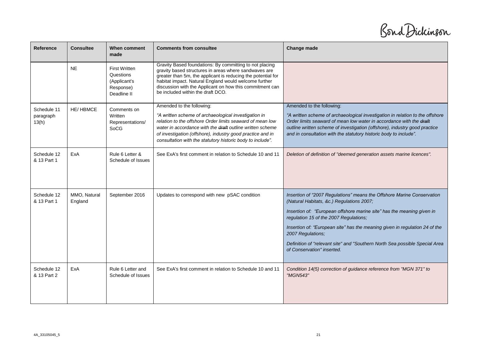Bond Dickinson

| Reference                         | <b>Consultee</b>        | When comment<br>made                                                          | <b>Comments from consultee</b>                                                                                                                                                                                                                                                                                                             | Change made                                                                                                                                                                                                                                                                                                                                                                                                                                              |
|-----------------------------------|-------------------------|-------------------------------------------------------------------------------|--------------------------------------------------------------------------------------------------------------------------------------------------------------------------------------------------------------------------------------------------------------------------------------------------------------------------------------------|----------------------------------------------------------------------------------------------------------------------------------------------------------------------------------------------------------------------------------------------------------------------------------------------------------------------------------------------------------------------------------------------------------------------------------------------------------|
|                                   | <b>NE</b>               | <b>First Written</b><br>Questions<br>(Applicant's<br>Response)<br>Deadline II | Gravity Based foundations: By committing to not placing<br>gravity based structures in areas where sandwaves are<br>greater than 5m, the applicant is reducing the potential for<br>habitat impact. Natural England would welcome further<br>discussion with the Applicant on how this commitment can<br>be included within the draft DCO. |                                                                                                                                                                                                                                                                                                                                                                                                                                                          |
| Schedule 11<br>paragraph<br>13(h) | <b>HE/HBMCE</b>         | Comments on<br>Written<br>Representations/<br>SoCG                            | Amended to the following:<br>"A written scheme of archaeological investigation in<br>relation to the offshore Order limits seaward of mean low<br>water in accordance with the draft outline written scheme<br>of investigation (offshore), industry good practice and in<br>consultation with the statutory historic body to include".    | Amended to the following:<br>"A written scheme of archaeological investigation in relation to the offshore<br>Order limits seaward of mean low water in accordance with the draft<br>outline written scheme of investigation (offshore), industry good practice<br>and in consultation with the statutory historic body to include".                                                                                                                     |
| Schedule 12<br>& 13 Part 1        | ExA                     | Rule 6 Letter &<br>Schedule of Issues                                         | See ExA's first comment in relation to Schedule 10 and 11                                                                                                                                                                                                                                                                                  | Deletion of definition of "deemed generation assets marine licences".                                                                                                                                                                                                                                                                                                                                                                                    |
| Schedule 12<br>& 13 Part 1        | MMO, Natural<br>England | September 2016                                                                | Updates to correspond with new pSAC condition                                                                                                                                                                                                                                                                                              | Insertion of "2007 Regulations" means the Offshore Marine Conservation<br>(Natural Habitats, &c.) Regulations 2007;<br>Insertion of: "European offshore marine site" has the meaning given in<br>regulation 15 of the 2007 Regulations;<br>Insertion of: "European site" has the meaning given in regulation 24 of the<br>2007 Regulations;<br>Definition of "relevant site" and "Southern North Sea possible Special Area<br>of Conservation" inserted. |
| Schedule 12<br>& 13 Part 2        | ExA                     | Rule 6 Letter and<br>Schedule of Issues                                       | See ExA's first comment in relation to Schedule 10 and 11                                                                                                                                                                                                                                                                                  | Condition 14(5) correction of guidance reference from "MGN 371" to<br>"MGN543"                                                                                                                                                                                                                                                                                                                                                                           |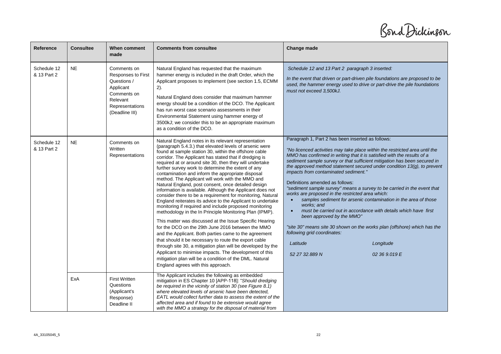Bond Dickinson

| Reference                  | <b>Consultee</b> | When comment<br>made                                                                                                          | <b>Comments from consultee</b>                                                                                                                                                                                                                                                                                                                                                                                                                                                                                                                                                                                                                                                                                                                                                                                                                                                                                                                                                                                                                                                                                                                                                                                                                                                                 | Change made                                                                                                                                                                                                                                                                                                                                                                                                                                                                                                                                                                                                                                                                                                                                                                                                                                                                                                                             |
|----------------------------|------------------|-------------------------------------------------------------------------------------------------------------------------------|------------------------------------------------------------------------------------------------------------------------------------------------------------------------------------------------------------------------------------------------------------------------------------------------------------------------------------------------------------------------------------------------------------------------------------------------------------------------------------------------------------------------------------------------------------------------------------------------------------------------------------------------------------------------------------------------------------------------------------------------------------------------------------------------------------------------------------------------------------------------------------------------------------------------------------------------------------------------------------------------------------------------------------------------------------------------------------------------------------------------------------------------------------------------------------------------------------------------------------------------------------------------------------------------|-----------------------------------------------------------------------------------------------------------------------------------------------------------------------------------------------------------------------------------------------------------------------------------------------------------------------------------------------------------------------------------------------------------------------------------------------------------------------------------------------------------------------------------------------------------------------------------------------------------------------------------------------------------------------------------------------------------------------------------------------------------------------------------------------------------------------------------------------------------------------------------------------------------------------------------------|
| Schedule 12<br>& 13 Part 2 | <b>NE</b>        | Comments on<br>Responses to First<br>Questions /<br>Applicant<br>Comments on<br>Relevant<br>Representations<br>(Deadline III) | Natural England has requested that the maximum<br>hammer energy is included in the draft Order, which the<br>Applicant proposes to implement (see section 1.5, ECMM<br>$2)$ .<br>Natural England does consider that maximum hammer<br>energy should be a condition of the DCO. The Applicant<br>has run worst case scenario assessments in their<br>Environmental Statement using hammer energy of<br>3500kJ; we consider this to be an appropriate maximum<br>as a condition of the DCO.                                                                                                                                                                                                                                                                                                                                                                                                                                                                                                                                                                                                                                                                                                                                                                                                      | Schedule 12 and 13 Part 2 paragraph 3 inserted:<br>In the event that driven or part-driven pile foundations are proposed to be<br>used, the hammer energy used to drive or part-drive the pile foundations<br>must not exceed 3,500kJ.                                                                                                                                                                                                                                                                                                                                                                                                                                                                                                                                                                                                                                                                                                  |
| Schedule 12<br>& 13 Part 2 | <b>NE</b>        | Comments on<br>Written<br>Representations                                                                                     | Natural England notes in its relevant representation<br>(paragraph 5.4.3.) that elevated levels of arsenic were<br>found at sample station 30, within the offshore cable<br>corridor. The Applicant has stated that if dredging is<br>required at or around site 30, then they will undertake<br>further survey work to determine the extent of any<br>contamination and inform the appropriate disposal<br>method. The Applicant will work with the MMO and<br>Natural England, post consent, once detailed design<br>information is available. Although the Applicant does not<br>consider there to be a requirement for monitoring, Natural<br>England reiterates its advice to the Applicant to undertake<br>monitoring if required and include proposed monitoring<br>methodology in the In Principle Monitoring Plan (IPMP).<br>This matter was discussed at the Issue Specific Hearing<br>for the DCO on the 29th June 2016 between the MMO<br>and the Applicant. Both parties came to the agreement<br>that should it be necessary to route the export cable<br>through site 30, a mitigation plan will be developed by the<br>Applicant to minimise impacts. The development of this<br>mitigation plan will be a condition of the DML. Natural<br>England agrees with this approach. | Paragraph 1, Part 2 has been inserted as follows:<br>"No licenced activities may take place within the restricted area until the<br>MMO has confirmed in writing that it is satisfied with the results of a<br>sediment sample survey or that sufficient mitigation has been secured in<br>the approved method statement secured under condition $13(q)$ , to prevent<br>impacts from contaminated sediment."<br>Definitions amended as follows:<br>"sediment sample survey" means a survey to be carried in the event that<br>works are proposed in the restricted area which:<br>samples sediment for arsenic contamination in the area of those<br>works: and<br>must be carried out in accordance with details which have first<br>been approved by the MMO"<br>"site 30" means site 30 shown on the works plan (offshore) which has the<br>following grid coordinates:<br>Latitude<br>Longitude<br>52 27 32,889 N<br>02 36 9.019 E |
|                            | ExA              | <b>First Written</b><br>Questions<br>(Applicant's<br>Response)<br>Deadline II                                                 | The Applicant includes the following as embedded<br>mitigation in ES Chapter 10 [APP-118]: "Should dredging<br>be required in the vicinity of station 30 (see Figure 8.1)<br>where elevated levels of arsenic have been detected.<br>EATL would collect further data to assess the extent of the<br>affected area and if found to be extensive would agree<br>with the MMO a strategy for the disposal of material from                                                                                                                                                                                                                                                                                                                                                                                                                                                                                                                                                                                                                                                                                                                                                                                                                                                                        |                                                                                                                                                                                                                                                                                                                                                                                                                                                                                                                                                                                                                                                                                                                                                                                                                                                                                                                                         |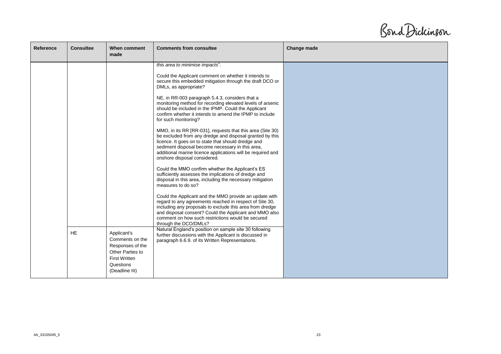Bond Dickinson

| <b>Reference</b> | <b>Consultee</b> | When comment<br>made                                                                                                          | <b>Comments from consultee</b>                                                                                                                                                                                                                                                                                                                                                                                                                                                                                                                                                                                                                                                                                                                                                                                                                                                                                                                                                                                                                                                                                                                                                                                                                                             | Change made |
|------------------|------------------|-------------------------------------------------------------------------------------------------------------------------------|----------------------------------------------------------------------------------------------------------------------------------------------------------------------------------------------------------------------------------------------------------------------------------------------------------------------------------------------------------------------------------------------------------------------------------------------------------------------------------------------------------------------------------------------------------------------------------------------------------------------------------------------------------------------------------------------------------------------------------------------------------------------------------------------------------------------------------------------------------------------------------------------------------------------------------------------------------------------------------------------------------------------------------------------------------------------------------------------------------------------------------------------------------------------------------------------------------------------------------------------------------------------------|-------------|
|                  |                  |                                                                                                                               | this area to minimise impacts".<br>Could the Applicant comment on whether it intends to<br>secure this embedded mitigation through the draft DCO or<br>DMLs, as appropriate?<br>NE, in RR-003 paragraph 5.4.3, considers that a<br>monitoring method for recording elevated levels of arsenic<br>should be included in the IPMP. Could the Applicant<br>confirm whether it intends to amend the IPMP to include<br>for such monitoring?<br>MMO, in its RR [RR-031], requests that this area (Site 30)<br>be excluded from any dredge and disposal granted by this<br>licence. It goes on to state that should dredge and<br>sediment disposal become necessary in this area,<br>additional marine licence applications will be required and<br>onshore disposal considered.<br>Could the MMO confirm whether the Applicant's ES<br>sufficiently assesses the implications of dredge and<br>disposal in this area, including the necessary mitigation<br>measures to do so?<br>Could the Applicant and the MMO provide an update with<br>regard to any agreements reached in respect of Site 30,<br>including any proposals to exclude this area from dredge<br>and disposal consent? Could the Applicant and MMO also<br>comment on how such restrictions would be secured |             |
|                  | <b>HE</b>        | Applicant's<br>Comments on the<br>Responses of the<br>Other Parties to<br><b>First Written</b><br>Questions<br>(Deadline III) | through the DCO/DMLs?<br>Natural England's position on sample site 30 following<br>further discussions with the Applicant is discussed in<br>paragraph 6.6.9. of its Written Representations.                                                                                                                                                                                                                                                                                                                                                                                                                                                                                                                                                                                                                                                                                                                                                                                                                                                                                                                                                                                                                                                                              |             |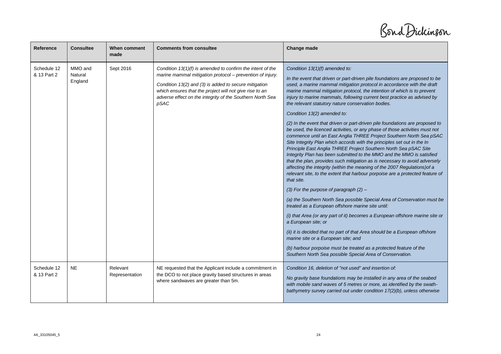Bond Dickinson

| Reference                  | <b>Consultee</b>              | When comment<br>made       | <b>Comments from consultee</b>                                                                                                                                                                                                                                                                                     | Change made                                                                                                                                                                                                                                                                                                                                                                                                                                                                                                                                                                                                                                                                                                          |
|----------------------------|-------------------------------|----------------------------|--------------------------------------------------------------------------------------------------------------------------------------------------------------------------------------------------------------------------------------------------------------------------------------------------------------------|----------------------------------------------------------------------------------------------------------------------------------------------------------------------------------------------------------------------------------------------------------------------------------------------------------------------------------------------------------------------------------------------------------------------------------------------------------------------------------------------------------------------------------------------------------------------------------------------------------------------------------------------------------------------------------------------------------------------|
| Schedule 12<br>& 13 Part 2 | MMO and<br>Natural<br>England | Sept 2016                  | Condition $13(1)(f)$ is amended to confirm the intent of the<br>marine mammal mitigation protocol - prevention of injury.<br>Condition 13(2) and (3) is added to secure mitigation<br>which ensures that the project will not give rise to an<br>adverse effect on the integrity of the Southern North Sea<br>pSAC | Condition 13(1)(f) amended to:<br>In the event that driven or part-driven pile foundations are proposed to be<br>used, a marine mammal mitigation protocol in accordance with the draft<br>marine mammal mitigation protocol, the intention of which is to prevent<br>injury to marine mammals, following current best practice as advised by<br>the relevant statutory nature conservation bodies.<br>Condition 13(2) amended to:                                                                                                                                                                                                                                                                                   |
|                            |                               |                            |                                                                                                                                                                                                                                                                                                                    | (2) In the event that driven or part-driven pile foundations are proposed to<br>be used, the licenced activities, or any phase of those activities must not<br>commence until an East Anglia THREE Project Southern North Sea pSAC<br>Site Integrity Plan which accords with the principles set out in the In<br>Principle East Anglia THREE Project Southern North Sea pSAC Site<br>Integrity Plan has been submitted to the MMO and the MMO is satisfied<br>that the plan, provides such mitigation as is necessary to avoid adversely<br>affecting the integrity (within the meaning of the 2007 Regulations) of a<br>relevant site, to the extent that harbour porpoise are a protected feature of<br>that site. |
|                            |                               |                            |                                                                                                                                                                                                                                                                                                                    | (3) For the purpose of paragraph $(2)$ –<br>(a) the Southern North Sea possible Special Area of Conservation must be<br>treated as a European offshore marine site until:<br>(i) that Area (or any part of it) becomes a European offshore marine site or                                                                                                                                                                                                                                                                                                                                                                                                                                                            |
|                            |                               |                            |                                                                                                                                                                                                                                                                                                                    | a European site; or<br>(ii) it is decided that no part of that Area should be a European offshore<br>marine site or a European site; and<br>(b) harbour porpoise must be treated as a protected feature of the<br>Southern North Sea possible Special Area of Conservation.                                                                                                                                                                                                                                                                                                                                                                                                                                          |
| Schedule 12<br>& 13 Part 2 | <b>NE</b>                     | Relevant<br>Representation | NE requested that the Applicant include a commitment in<br>the DCO to not place gravity based structures in areas<br>where sandwaves are greater than 5m.                                                                                                                                                          | Condition 16, deletion of "not used" and insertion of:<br>No gravity base foundations may be installed in any area of the seabed<br>with mobile sand waves of 5 metres or more, as identified by the swath-<br>bathymetry survey carried out under condition 17(2)(b), unless otherwise                                                                                                                                                                                                                                                                                                                                                                                                                              |